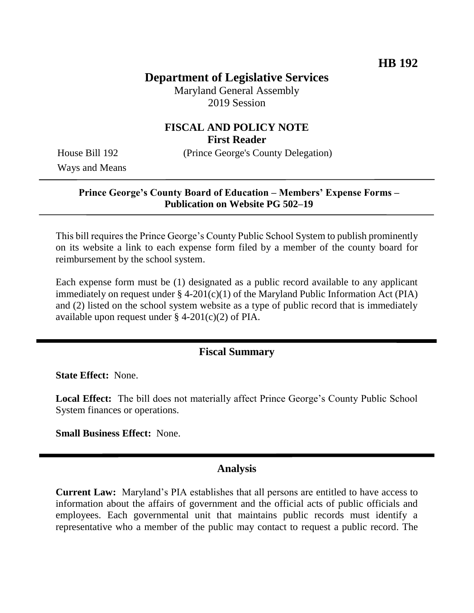# **Department of Legislative Services**

Maryland General Assembly 2019 Session

# **FISCAL AND POLICY NOTE First Reader**

House Bill 192 (Prince George's County Delegation)

Ways and Means

### **Prince George's County Board of Education – Members' Expense Forms – Publication on Website PG 502–19**

This bill requires the Prince George's County Public School System to publish prominently on its website a link to each expense form filed by a member of the county board for reimbursement by the school system.

Each expense form must be (1) designated as a public record available to any applicant immediately on request under  $\S$  4-201(c)(1) of the Maryland Public Information Act (PIA) and (2) listed on the school system website as a type of public record that is immediately available upon request under  $\S$  4-201(c)(2) of PIA.

## **Fiscal Summary**

**State Effect:** None.

**Local Effect:** The bill does not materially affect Prince George's County Public School System finances or operations.

**Small Business Effect:** None.

### **Analysis**

**Current Law:** Maryland's PIA establishes that all persons are entitled to have access to information about the affairs of government and the official acts of public officials and employees. Each governmental unit that maintains public records must identify a representative who a member of the public may contact to request a public record. The